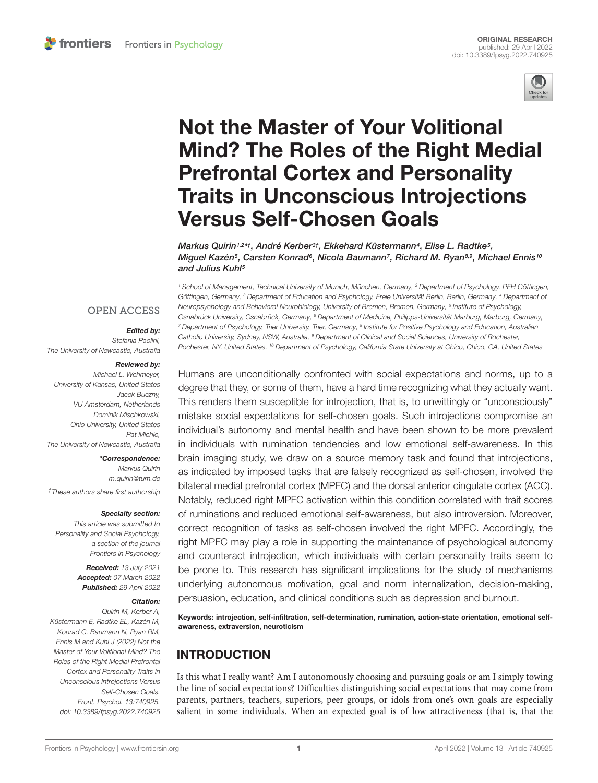

# Not the Master of Your Volitional [Mind? The Roles of the Right Medial](https://www.frontiersin.org/articles/10.3389/fpsyg.2022.740925/full) Prefrontal Cortex and Personality Traits in Unconscious Introjections Versus Self-Chosen Goals

Markus Quirin1,2\*†, André Kerber<sup>3†</sup>, Ekkehard Küstermann<sup>4</sup>, Elise L. Radtke<sup>5</sup>, Miguel Kazén<sup>s</sup>, Carsten Konrad<sup>s</sup>, Nicola Baumann<sup>7</sup>, Richard M. Ryan<sup>s, a</sup>, Michael Ennis10 and Julius Kuhl<sup>5</sup>

**OPEN ACCESS** 

#### Edited by:

Stefania Paolini, The University of Newcastle, Australia

#### Reviewed by:

Michael L. Wehmeyer, University of Kansas, United States Jacek Buczny, VU Amsterdam, Netherlands Dominik Mischkowski, Ohio University, United States Pat Michie, The University of Newcastle, Australia

\*Correspondence: Markus Quirin m.quirin@tum.de †These authors share first authorship

#### Specialty section:

This article was submitted to Personality and Social Psychology, a section of the journal Frontiers in Psychology

> Received: 13 July 2021 Accepted: 07 March 2022 Published: 29 April 2022

#### Citation:

Quirin M, Kerber A, Küstermann E, Radtke EL, Kazén M, Konrad C, Baumann N, Ryan RM, Ennis M and Kuhl J (2022) Not the Master of Your Volitional Mind? The Roles of the Right Medial Prefrontal Cortex and Personality Traits in Unconscious Introjections Versus Self-Chosen Goals. Front. Psychol. 13:740925. doi: [10.3389/fpsyg.2022.740925](https://doi.org/10.3389/fpsyg.2022.740925)

<sup>1</sup> School of Management, Technical University of Munich, München, Germany, <sup>2</sup> Department of Psychology, PFH Göttingen, Göttingen, Germany, <sup>3</sup> Department of Education and Psychology, Freie Universität Berlin, Berlin, Germany, <sup>4</sup> Department of Neuropsychology and Behavioral Neurobiology, University of Bremen, Bremen, Germany, <sup>5</sup> Institute of Psychology, Osnabrück University, Osnabrück, Germany, <sup>6</sup> Department of Medicine, Philipps-Universität Marburg, Marburg, Germany,  $^7$  Department of Psychology, Trier University, Trier, Germany,  $^8$  Institute for Positive Psychology and Education, Australian Catholic University, Sydney, NSW, Australia, <sup>9</sup> Department of Clinical and Social Sciences, University of Rochester, Rochester, NY, United States, <sup>10</sup> Department of Psychology, California State University at Chico, Chico, CA, United States

Humans are unconditionally confronted with social expectations and norms, up to a degree that they, or some of them, have a hard time recognizing what they actually want. This renders them susceptible for introjection, that is, to unwittingly or "unconsciously" mistake social expectations for self-chosen goals. Such introjections compromise an individual's autonomy and mental health and have been shown to be more prevalent in individuals with rumination tendencies and low emotional self-awareness. In this brain imaging study, we draw on a source memory task and found that introjections, as indicated by imposed tasks that are falsely recognized as self-chosen, involved the bilateral medial prefrontal cortex (MPFC) and the dorsal anterior cingulate cortex (ACC). Notably, reduced right MPFC activation within this condition correlated with trait scores of ruminations and reduced emotional self-awareness, but also introversion. Moreover, correct recognition of tasks as self-chosen involved the right MPFC. Accordingly, the right MPFC may play a role in supporting the maintenance of psychological autonomy and counteract introjection, which individuals with certain personality traits seem to be prone to. This research has significant implications for the study of mechanisms underlying autonomous motivation, goal and norm internalization, decision-making, persuasion, education, and clinical conditions such as depression and burnout.

Keywords: introjection, self-infiltration, self-determination, rumination, action-state orientation, emotional selfawareness, extraversion, neuroticism

# INTRODUCTION

Is this what I really want? Am I autonomously choosing and pursuing goals or am I simply towing the line of social expectations? Difficulties distinguishing social expectations that may come from parents, partners, teachers, superiors, peer groups, or idols from one's own goals are especially salient in some individuals. When an expected goal is of low attractiveness (that is, that the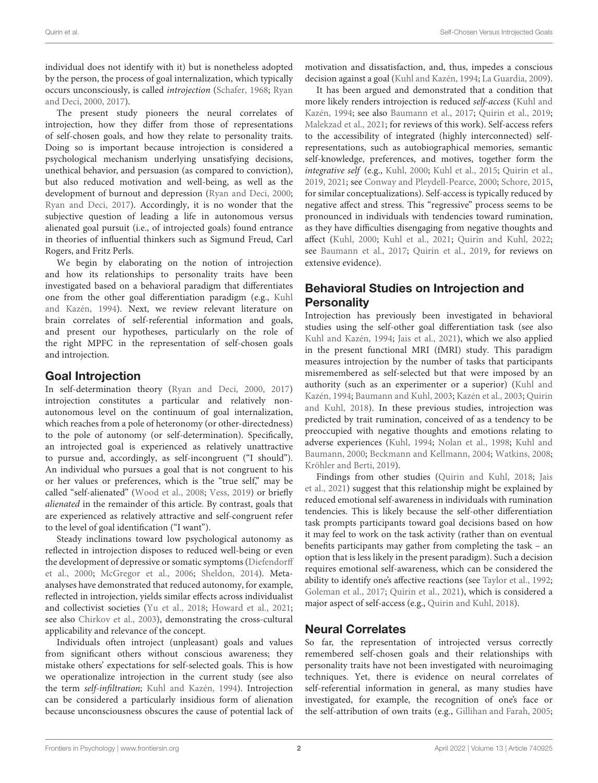individual does not identify with it) but is nonetheless adopted by the person, the process of goal internalization, which typically occurs unconsciously, is called introjection [\(Schafer,](#page-8-0) [1968;](#page-8-0) [Ryan](#page-8-1) [and Deci,](#page-8-1) [2000,](#page-8-1) [2017\)](#page-8-2).

The present study pioneers the neural correlates of introjection, how they differ from those of representations of self-chosen goals, and how they relate to personality traits. Doing so is important because introjection is considered a psychological mechanism underlying unsatisfying decisions, unethical behavior, and persuasion (as compared to conviction), but also reduced motivation and well-being, as well as the development of burnout and depression [\(Ryan and Deci,](#page-8-1) [2000;](#page-8-1) [Ryan and Deci,](#page-8-2) [2017\)](#page-8-2). Accordingly, it is no wonder that the subjective question of leading a life in autonomous versus alienated goal pursuit (i.e., of introjected goals) found entrance in theories of influential thinkers such as Sigmund Freud, Carl Rogers, and Fritz Perls.

We begin by elaborating on the notion of introjection and how its relationships to personality traits have been investigated based on a behavioral paradigm that differentiates one from the other goal differentiation paradigm (e.g., [Kuhl](#page-7-0) [and Kazén,](#page-7-0) [1994\)](#page-7-0). Next, we review relevant literature on brain correlates of self-referential information and goals, and present our hypotheses, particularly on the role of the right MPFC in the representation of self-chosen goals and introjection.

#### Goal Introjection

In self-determination theory [\(Ryan and Deci,](#page-8-1) [2000,](#page-8-1) [2017\)](#page-8-2) introjection constitutes a particular and relatively nonautonomous level on the continuum of goal internalization, which reaches from a pole of heteronomy (or other-directedness) to the pole of autonomy (or self-determination). Specifically, an introjected goal is experienced as relatively unattractive to pursue and, accordingly, as self-incongruent ("I should"). An individual who pursues a goal that is not congruent to his or her values or preferences, which is the "true self," may be called "self-alienated" [\(Wood et al.,](#page-8-3) [2008;](#page-8-3) [Vess,](#page-8-4) [2019\)](#page-8-4) or briefly alienated in the remainder of this article. By contrast, goals that are experienced as relatively attractive and self-congruent refer to the level of goal identification ("I want").

Steady inclinations toward low psychological autonomy as reflected in introjection disposes to reduced well-being or even the development of depressive or somatic symptoms [\(Diefendorff](#page-7-1) [et al.,](#page-7-1) [2000;](#page-7-1) [McGregor et al.,](#page-8-5) [2006;](#page-8-5) [Sheldon,](#page-8-6) [2014\)](#page-8-6). Metaanalyses have demonstrated that reduced autonomy, for example, reflected in introjection, yields similar effects across individualist and collectivist societies [\(Yu et al.,](#page-8-7) [2018;](#page-8-7) [Howard et al.,](#page-7-2) [2021;](#page-7-2) see also [Chirkov et al.,](#page-7-3) [2003\)](#page-7-3), demonstrating the cross-cultural applicability and relevance of the concept.

Individuals often introject (unpleasant) goals and values from significant others without conscious awareness; they mistake others' expectations for self-selected goals. This is how we operationalize introjection in the current study (see also the term self-infiltration; [Kuhl and Kazén,](#page-7-0) [1994\)](#page-7-0). Introjection can be considered a particularly insidious form of alienation because unconsciousness obscures the cause of potential lack of motivation and dissatisfaction, and, thus, impedes a conscious decision against a goal [\(Kuhl and Kazén,](#page-7-0) [1994;](#page-7-0) [La Guardia,](#page-7-4) [2009\)](#page-7-4).

It has been argued and demonstrated that a condition that more likely renders introjection is reduced self-access [\(Kuhl and](#page-7-0) [Kazén,](#page-7-0) [1994;](#page-7-0) see also [Baumann et al.,](#page-7-5) [2017;](#page-7-5) [Quirin et al.,](#page-8-8) [2019;](#page-8-8) [Malekzad et al.,](#page-7-6) [2021;](#page-7-6) for reviews of this work). Self-access refers to the accessibility of integrated (highly interconnected) selfrepresentations, such as autobiographical memories, semantic self-knowledge, preferences, and motives, together form the integrative self (e.g., [Kuhl,](#page-7-7) [2000;](#page-7-7) [Kuhl et al.,](#page-7-8) [2015;](#page-7-8) [Quirin et al.,](#page-8-8) [2019,](#page-8-8) [2021;](#page-8-9) see [Conway and Pleydell-Pearce,](#page-7-9) [2000;](#page-7-9) [Schore,](#page-8-10) [2015,](#page-8-10) for similar conceptualizations). Self-access is typically reduced by negative affect and stress. This "regressive" process seems to be pronounced in individuals with tendencies toward rumination, as they have difficulties disengaging from negative thoughts and affect [\(Kuhl,](#page-7-7) [2000;](#page-7-7) [Kuhl et al.,](#page-7-10) [2021;](#page-7-10) [Quirin and Kuhl,](#page-8-11) [2022;](#page-8-11) see [Baumann et al.,](#page-7-5) [2017;](#page-7-5) [Quirin et al.,](#page-8-8) [2019,](#page-8-8) for reviews on extensive evidence).

# Behavioral Studies on Introjection and **Personality**

Introjection has previously been investigated in behavioral studies using the self-other goal differentiation task (see also [Kuhl and Kazén,](#page-7-0) [1994;](#page-7-0) [Jais et al.,](#page-7-11) [2021\)](#page-7-11), which we also applied in the present functional MRI (fMRI) study. This paradigm measures introjection by the number of tasks that participants misremembered as self-selected but that were imposed by an authority (such as an experimenter or a superior) [\(Kuhl and](#page-7-0) [Kazén,](#page-7-0) [1994;](#page-7-0) [Baumann and Kuhl,](#page-7-12) [2003;](#page-7-12) [Kazén et al.,](#page-7-13) [2003;](#page-7-13) [Quirin](#page-8-12) [and Kuhl,](#page-8-12) [2018\)](#page-8-12). In these previous studies, introjection was predicted by trait rumination, conceived of as a tendency to be preoccupied with negative thoughts and emotions relating to adverse experiences [\(Kuhl,](#page-7-14) [1994;](#page-7-14) [Nolan et al.,](#page-8-13) [1998;](#page-8-13) [Kuhl and](#page-7-15) [Baumann,](#page-7-15) [2000;](#page-7-15) [Beckmann and Kellmann,](#page-7-16) [2004;](#page-7-16) [Watkins,](#page-8-14) [2008;](#page-8-14) [Kröhler and Berti,](#page-7-17) [2019\)](#page-7-17).

Findings from other studies [\(Quirin and Kuhl,](#page-8-12) [2018;](#page-8-12) [Jais](#page-7-11) [et al.,](#page-7-11) [2021\)](#page-7-11) suggest that this relationship might be explained by reduced emotional self-awareness in individuals with rumination tendencies. This is likely because the self-other differentiation task prompts participants toward goal decisions based on how it may feel to work on the task activity (rather than on eventual benefits participants may gather from completing the task – an option that is less likely in the present paradigm). Such a decision requires emotional self-awareness, which can be considered the ability to identify one's affective reactions (see [Taylor et al.,](#page-8-15) [1992;](#page-8-15) [Goleman et al.,](#page-7-18) [2017;](#page-7-18) [Quirin et al.,](#page-8-9) [2021\)](#page-8-9), which is considered a major aspect of self-access (e.g., [Quirin and Kuhl,](#page-8-12) [2018\)](#page-8-12).

### Neural Correlates

So far, the representation of introjected versus correctly remembered self-chosen goals and their relationships with personality traits have not been investigated with neuroimaging techniques. Yet, there is evidence on neural correlates of self-referential information in general, as many studies have investigated, for example, the recognition of one's face or the self-attribution of own traits (e.g., [Gillihan and Farah,](#page-7-19) [2005;](#page-7-19)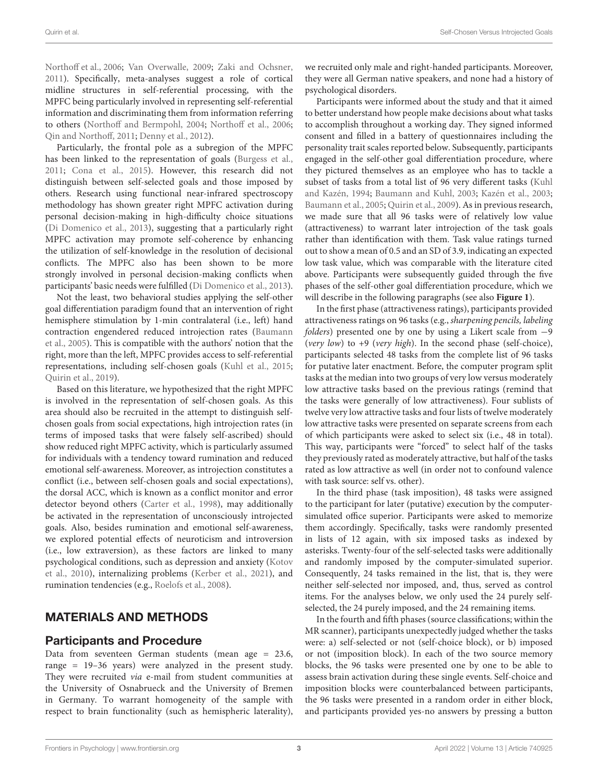[Northoff et al.,](#page-8-16) [2006;](#page-8-16) [Van Overwalle,](#page-8-17) [2009;](#page-8-17) [Zaki and Ochsner,](#page-8-18) [2011\)](#page-8-18). Specifically, meta-analyses suggest a role of cortical midline structures in self-referential processing, with the MPFC being particularly involved in representing self-referential information and discriminating them from information referring to others [\(Northoff and Bermpohl,](#page-8-19) [2004;](#page-8-19) [Northoff et al.,](#page-8-16) [2006;](#page-8-16) [Qin and Northoff,](#page-8-20) [2011;](#page-8-20) [Denny et al.,](#page-7-20) [2012\)](#page-7-20).

Particularly, the frontal pole as a subregion of the MPFC has been linked to the representation of goals [\(Burgess et al.,](#page-7-21) [2011;](#page-7-21) [Cona et al.,](#page-7-22) [2015\)](#page-7-22). However, this research did not distinguish between self-selected goals and those imposed by others. Research using functional near-infrared spectroscopy methodology has shown greater right MPFC activation during personal decision-making in high-difficulty choice situations [\(Di Domenico et al.,](#page-7-23) [2013\)](#page-7-23), suggesting that a particularly right MPFC activation may promote self-coherence by enhancing the utilization of self-knowledge in the resolution of decisional conflicts. The MPFC also has been shown to be more strongly involved in personal decision-making conflicts when participants' basic needs were fulfilled [\(Di Domenico et al.,](#page-7-23) [2013\)](#page-7-23).

Not the least, two behavioral studies applying the self-other goal differentiation paradigm found that an intervention of right hemisphere stimulation by 1-min contralateral (i.e., left) hand contraction engendered reduced introjection rates [\(Baumann](#page-7-24) [et al.,](#page-7-24) [2005\)](#page-7-24). This is compatible with the authors' notion that the right, more than the left, MPFC provides access to self-referential representations, including self-chosen goals [\(Kuhl et al.,](#page-7-8) [2015;](#page-7-8) [Quirin et al.,](#page-8-8) [2019\)](#page-8-8).

Based on this literature, we hypothesized that the right MPFC is involved in the representation of self-chosen goals. As this area should also be recruited in the attempt to distinguish selfchosen goals from social expectations, high introjection rates (in terms of imposed tasks that were falsely self-ascribed) should show reduced right MPFC activity, which is particularly assumed for individuals with a tendency toward rumination and reduced emotional self-awareness. Moreover, as introjection constitutes a conflict (i.e., between self-chosen goals and social expectations), the dorsal ACC, which is known as a conflict monitor and error detector beyond others [\(Carter et al.,](#page-7-25) [1998\)](#page-7-25), may additionally be activated in the representation of unconsciously introjected goals. Also, besides rumination and emotional self-awareness, we explored potential effects of neuroticism and introversion (i.e., low extraversion), as these factors are linked to many psychological conditions, such as depression and anxiety [\(Kotov](#page-7-26) [et al.,](#page-7-26) [2010\)](#page-7-26), internalizing problems [\(Kerber et al.,](#page-7-27) [2021\)](#page-7-27), and rumination tendencies (e.g., [Roelofs et al.,](#page-8-21) [2008\)](#page-8-21).

### MATERIALS AND METHODS

#### Participants and Procedure

Data from seventeen German students (mean age = 23.6, range = 19–36 years) were analyzed in the present study. They were recruited via e-mail from student communities at the University of Osnabrueck and the University of Bremen in Germany. To warrant homogeneity of the sample with respect to brain functionality (such as hemispheric laterality),

we recruited only male and right-handed participants. Moreover, they were all German native speakers, and none had a history of psychological disorders.

Participants were informed about the study and that it aimed to better understand how people make decisions about what tasks to accomplish throughout a working day. They signed informed consent and filled in a battery of questionnaires including the personality trait scales reported below. Subsequently, participants engaged in the self-other goal differentiation procedure, where they pictured themselves as an employee who has to tackle a subset of tasks from a total list of 96 very different tasks [\(Kuhl](#page-7-0) [and Kazén,](#page-7-0) [1994;](#page-7-0) [Baumann and Kuhl,](#page-7-12) [2003;](#page-7-12) [Kazén et al.,](#page-7-13) [2003;](#page-7-13) [Baumann et al.,](#page-7-24) [2005;](#page-7-24) [Quirin et al.,](#page-8-22) [2009\)](#page-8-22). As in previous research, we made sure that all 96 tasks were of relatively low value (attractiveness) to warrant later introjection of the task goals rather than identification with them. Task value ratings turned out to show a mean of 0.5 and an SD of 3.9, indicating an expected low task value, which was comparable with the literature cited above. Participants were subsequently guided through the five phases of the self-other goal differentiation procedure, which we will describe in the following paragraphs (see also **[Figure 1](#page-3-0)**).

In the first phase (attractiveness ratings), participants provided attractiveness ratings on 96 tasks (e.g., sharpening pencils, labeling folders) presented one by one by using a Likert scale from −9 (very low) to +9 (very high). In the second phase (self-choice), participants selected 48 tasks from the complete list of 96 tasks for putative later enactment. Before, the computer program split tasks at the median into two groups of very low versus moderately low attractive tasks based on the previous ratings (remind that the tasks were generally of low attractiveness). Four sublists of twelve very low attractive tasks and four lists of twelve moderately low attractive tasks were presented on separate screens from each of which participants were asked to select six (i.e., 48 in total). This way, participants were "forced" to select half of the tasks they previously rated as moderately attractive, but half of the tasks rated as low attractive as well (in order not to confound valence with task source: self vs. other).

In the third phase (task imposition), 48 tasks were assigned to the participant for later (putative) execution by the computersimulated office superior. Participants were asked to memorize them accordingly. Specifically, tasks were randomly presented in lists of 12 again, with six imposed tasks as indexed by asterisks. Twenty-four of the self-selected tasks were additionally and randomly imposed by the computer-simulated superior. Consequently, 24 tasks remained in the list, that is, they were neither self-selected nor imposed, and, thus, served as control items. For the analyses below, we only used the 24 purely selfselected, the 24 purely imposed, and the 24 remaining items.

In the fourth and fifth phases (source classifications; within the MR scanner), participants unexpectedly judged whether the tasks were: a) self-selected or not (self-choice block), or b) imposed or not (imposition block). In each of the two source memory blocks, the 96 tasks were presented one by one to be able to assess brain activation during these single events. Self-choice and imposition blocks were counterbalanced between participants, the 96 tasks were presented in a random order in either block, and participants provided yes-no answers by pressing a button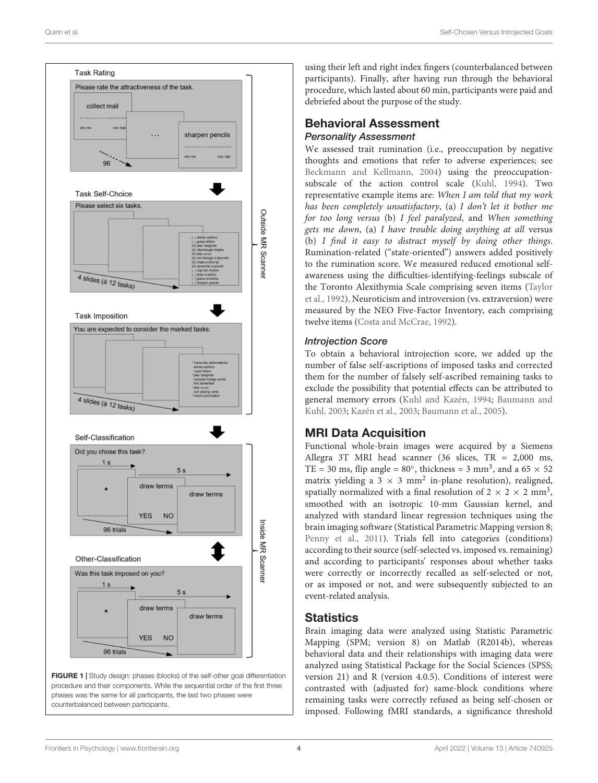

<span id="page-3-0"></span>FIGURE 1 | Study design: phases (blocks) of the self-other goal differentiation procedure and their components. While the sequential order of the first three phases was the same for all participants, the last two phases were counterbalanced between participants.

using their left and right index fingers (counterbalanced between participants). Finally, after having run through the behavioral procedure, which lasted about 60 min, participants were paid and debriefed about the purpose of the study.

#### Behavioral Assessment Personality Assessment

We assessed trait rumination (i.e., preoccupation by negative thoughts and emotions that refer to adverse experiences; see [Beckmann and Kellmann,](#page-7-16) [2004\)](#page-7-16) using the preoccupationsubscale of the action control scale [\(Kuhl,](#page-7-14) [1994\)](#page-7-14). Two representative example items are: When I am told that my work has been completely unsatisfactory, (a) I don't let it bother me for too long versus (b) I feel paralyzed, and When something gets me down, (a) I have trouble doing anything at all versus (b) I find it easy to distract myself by doing other things. Rumination-related ("state-oriented") answers added positively to the rumination score. We measured reduced emotional selfawareness using the difficulties-identifying-feelings subscale of the Toronto Alexithymia Scale comprising seven items [\(Taylor](#page-8-15) [et al.,](#page-8-15) [1992\)](#page-8-15). Neuroticism and introversion (vs. extraversion) were measured by the NEO Five-Factor Inventory, each comprising twelve items [\(Costa and McCrae,](#page-7-28) [1992\)](#page-7-28).

#### Introjection Score

To obtain a behavioral introjection score, we added up the number of false self-ascriptions of imposed tasks and corrected them for the number of falsely self-ascribed remaining tasks to exclude the possibility that potential effects can be attributed to general memory errors [\(Kuhl and Kazén,](#page-7-0) [1994;](#page-7-0) [Baumann and](#page-7-12) [Kuhl,](#page-7-12) [2003;](#page-7-12) [Kazén et al.,](#page-7-13) [2003;](#page-7-13) [Baumann et al.,](#page-7-24) [2005\)](#page-7-24).

# MRI Data Acquisition

Functional whole-brain images were acquired by a Siemens Allegra 3T MRI head scanner (36 slices, TR = 2,000 ms, TE = 30 ms, flip angle =  $80^\circ$ , thickness = 3 mm<sup>3</sup>, and a 65  $\times$  52 matrix yielding a 3  $\times$  3 mm<sup>2</sup> in-plane resolution), realigned, spatially normalized with a final resolution of  $2 \times 2 \times 2$  mm<sup>3</sup>, smoothed with an isotropic 10-mm Gaussian kernel, and analyzed with standard linear regression techniques using the brain imaging software (Statistical Parametric Mapping version 8; [Penny et al.,](#page-8-23) [2011\)](#page-8-23). Trials fell into categories (conditions) according to their source (self-selected vs. imposed vs. remaining) and according to participants' responses about whether tasks were correctly or incorrectly recalled as self-selected or not, or as imposed or not, and were subsequently subjected to an event-related analysis.

# **Statistics**

Brain imaging data were analyzed using Statistic Parametric Mapping (SPM; version 8) on Matlab (R2014b), whereas behavioral data and their relationships with imaging data were analyzed using Statistical Package for the Social Sciences (SPSS; version 21) and R (version 4.0.5). Conditions of interest were contrasted with (adjusted for) same-block conditions where remaining tasks were correctly refused as being self-chosen or imposed. Following fMRI standards, a significance threshold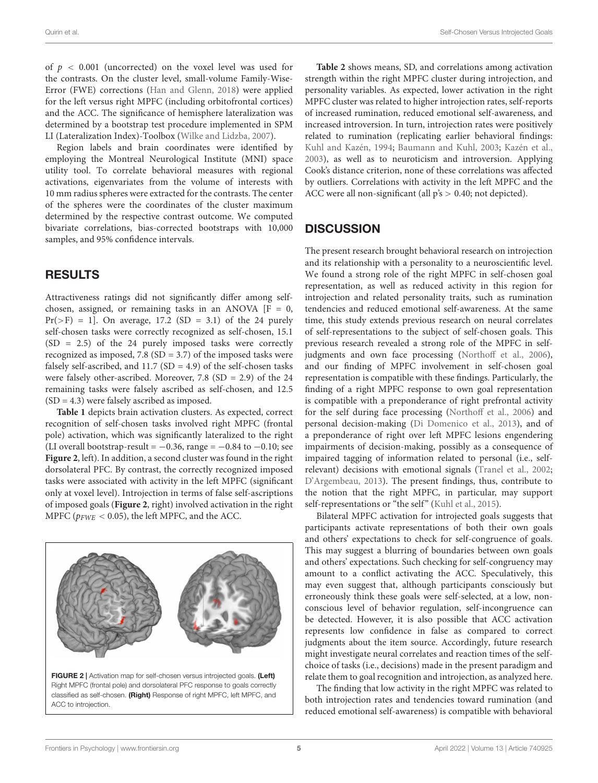Quirin et al. Self-Chosen Versus Introjected Goals

of  $p < 0.001$  (uncorrected) on the voxel level was used for the contrasts. On the cluster level, small-volume Family-Wise-Error (FWE) corrections [\(Han and Glenn,](#page-7-29) [2018\)](#page-7-29) were applied for the left versus right MPFC (including orbitofrontal cortices) and the ACC. The significance of hemisphere lateralization was determined by a bootstrap test procedure implemented in SPM LI (Lateralization Index)-Toolbox [\(Wilke and Lidzba,](#page-8-24) [2007\)](#page-8-24).

Region labels and brain coordinates were identified by employing the Montreal Neurological Institute (MNI) space utility tool. To correlate behavioral measures with regional activations, eigenvariates from the volume of interests with 10 mm radius spheres were extracted for the contrasts. The center of the spheres were the coordinates of the cluster maximum determined by the respective contrast outcome. We computed bivariate correlations, bias-corrected bootstraps with 10,000 samples, and 95% confidence intervals.

# RESULTS

Attractiveness ratings did not significantly differ among selfchosen, assigned, or remaining tasks in an ANOVA  $[F = 0,$  $Pr(>= 1]$ . On average, 17.2 (SD = 3.1) of the 24 purely self-chosen tasks were correctly recognized as self-chosen, 15.1 (SD = 2.5) of the 24 purely imposed tasks were correctly recognized as imposed, 7.8 (SD = 3.7) of the imposed tasks were falsely self-ascribed, and  $11.7$  (SD = 4.9) of the self-chosen tasks were falsely other-ascribed. Moreover, 7.8  $(SD = 2.9)$  of the 24 remaining tasks were falsely ascribed as self-chosen, and 12.5 (SD = 4.3) were falsely ascribed as imposed.

**[Table 1](#page-5-0)** depicts brain activation clusters. As expected, correct recognition of self-chosen tasks involved right MPFC (frontal pole) activation, which was significantly lateralized to the right (LI overall bootstrap-result =  $-0.36$ , range =  $-0.84$  to  $-0.10$ ; see **[Figure 2](#page-4-0)**, left). In addition, a second cluster was found in the right dorsolateral PFC. By contrast, the correctly recognized imposed tasks were associated with activity in the left MPFC (significant only at voxel level). Introjection in terms of false self-ascriptions of imposed goals (**[Figure 2](#page-4-0)**, right) involved activation in the right MPFC ( $p_{FWE}$  < 0.05), the left MPFC, and the ACC.

<span id="page-4-0"></span>

**[Table 2](#page-5-1)** shows means, SD, and correlations among activation strength within the right MPFC cluster during introjection, and personality variables. As expected, lower activation in the right MPFC cluster was related to higher introjection rates, self-reports of increased rumination, reduced emotional self-awareness, and increased introversion. In turn, introjection rates were positively related to rumination (replicating earlier behavioral findings: [Kuhl and Kazén,](#page-7-0) [1994;](#page-7-0) [Baumann and Kuhl,](#page-7-12) [2003;](#page-7-12) [Kazén et al.,](#page-7-13) [2003\)](#page-7-13), as well as to neuroticism and introversion. Applying Cook's distance criterion, none of these correlations was affected by outliers. Correlations with activity in the left MPFC and the ACC were all non-significant (all p's > 0.40; not depicted).

### **DISCUSSION**

The present research brought behavioral research on introjection and its relationship with a personality to a neuroscientific level. We found a strong role of the right MPFC in self-chosen goal representation, as well as reduced activity in this region for introjection and related personality traits, such as rumination tendencies and reduced emotional self-awareness. At the same time, this study extends previous research on neural correlates of self-representations to the subject of self-chosen goals. This previous research revealed a strong role of the MPFC in selfjudgments and own face processing [\(Northoff et al.,](#page-8-16) [2006\)](#page-8-16), and our finding of MPFC involvement in self-chosen goal representation is compatible with these findings. Particularly, the finding of a right MPFC response to own goal representation is compatible with a preponderance of right prefrontal activity for the self during face processing [\(Northoff et al.,](#page-8-16) [2006\)](#page-8-16) and personal decision-making [\(Di Domenico et al.,](#page-7-23) [2013\)](#page-7-23), and of a preponderance of right over left MPFC lesions engendering impairments of decision-making, possibly as a consequence of impaired tagging of information related to personal (i.e., selfrelevant) decisions with emotional signals [\(Tranel et al.,](#page-8-25) [2002;](#page-8-25) [D'Argembeau,](#page-7-30) [2013\)](#page-7-30). The present findings, thus, contribute to the notion that the right MPFC, in particular, may support self-representations or "the self" [\(Kuhl et al.,](#page-7-8) [2015\)](#page-7-8).

Bilateral MPFC activation for introjected goals suggests that participants activate representations of both their own goals and others' expectations to check for self-congruence of goals. This may suggest a blurring of boundaries between own goals and others' expectations. Such checking for self-congruency may amount to a conflict activating the ACC. Speculatively, this may even suggest that, although participants consciously but erroneously think these goals were self-selected, at a low, nonconscious level of behavior regulation, self-incongruence can be detected. However, it is also possible that ACC activation represents low confidence in false as compared to correct judgments about the item source. Accordingly, future research might investigate neural correlates and reaction times of the selfchoice of tasks (i.e., decisions) made in the present paradigm and relate them to goal recognition and introjection, as analyzed here.

The finding that low activity in the right MPFC was related to both introjection rates and tendencies toward rumination (and reduced emotional self-awareness) is compatible with behavioral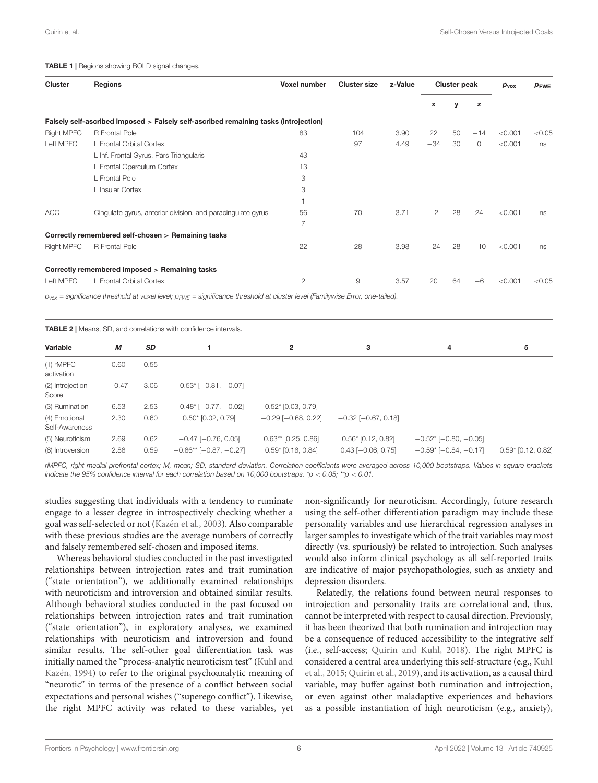#### <span id="page-5-0"></span>TABLE 1 | Regions showing BOLD signal changes.

| <b>Cluster</b>    | Regions                                                                              | Voxel number   | <b>Cluster size</b> | z-Value | <b>Cluster peak</b> |    |         | $p_{\text{vox}}$ | PFWE   |
|-------------------|--------------------------------------------------------------------------------------|----------------|---------------------|---------|---------------------|----|---------|------------------|--------|
|                   |                                                                                      |                |                     |         | x                   | y  | z       |                  |        |
|                   | Falsely self-ascribed imposed > Falsely self-ascribed remaining tasks (introjection) |                |                     |         |                     |    |         |                  |        |
| <b>Right MPFC</b> | R Frontal Pole                                                                       | 83             | 104                 | 3.90    | 22                  | 50 | $-14$   | < 0.001          | < 0.05 |
| Left MPFC         | L Frontal Orbital Cortex                                                             |                | 97                  | 4.49    | $-34$               | 30 | $\circ$ | < 0.001          | ns     |
|                   | L Inf. Frontal Gyrus, Pars Triangularis                                              | 43             |                     |         |                     |    |         |                  |        |
|                   | L Frontal Operculum Cortex                                                           | 13             |                     |         |                     |    |         |                  |        |
|                   | L Frontal Pole                                                                       | 3              |                     |         |                     |    |         |                  |        |
|                   | L Insular Cortex                                                                     | 3              |                     |         |                     |    |         |                  |        |
|                   |                                                                                      |                |                     |         |                     |    |         |                  |        |
| <b>ACC</b>        | Cingulate gyrus, anterior division, and paracingulate gyrus                          | 56             | 70                  | 3.71    | $-2$                | 28 | 24      | < 0.001          | ns     |
|                   |                                                                                      | $\overline{7}$ |                     |         |                     |    |         |                  |        |
|                   | Correctly remembered self-chosen > Remaining tasks                                   |                |                     |         |                     |    |         |                  |        |
| Right MPFC        | R Frontal Pole                                                                       | 22             | 28                  | 3.98    | $-24$               | 28 | $-10$   | < 0.001          | ns     |
|                   | Correctly remembered imposed > Remaining tasks                                       |                |                     |         |                     |    |         |                  |        |
| Left MPFC         | L Frontal Orbital Cortex                                                             | 2              | 9                   | 3.57    | 20                  | 64 | $-6$    | < 0.001          | < 0.05 |

 $p_{vox}$  = significance threshold at voxel level;  $p_{FWE}$  = significance threshold at cluster level (Familywise Error, one-tailed).

<span id="page-5-1"></span>

| <b>TABLE 2</b>   Means, SD, and correlations with confidence intervals. |              |              |                                                           |                                               |                                                     |                                                              |                      |  |  |  |  |
|-------------------------------------------------------------------------|--------------|--------------|-----------------------------------------------------------|-----------------------------------------------|-----------------------------------------------------|--------------------------------------------------------------|----------------------|--|--|--|--|
| Variable                                                                | М            | <b>SD</b>    |                                                           | $\overline{2}$                                | 3                                                   | 4                                                            | 5                    |  |  |  |  |
| $(1)$ rMPFC<br>activation                                               | 0.60         | 0.55         |                                                           |                                               |                                                     |                                                              |                      |  |  |  |  |
| (2) Introjection<br>Score                                               | $-0.47$      | 3.06         | $-0.53$ * [ $-0.81, -0.07$ ]                              |                                               |                                                     |                                                              |                      |  |  |  |  |
| (3) Rumination                                                          | 6.53         | 2.53         | $-0.48$ * [ $-0.77, -0.02$ ]                              | $0.52*$ [0.03, 0.79]                          |                                                     |                                                              |                      |  |  |  |  |
| (4) Emotional<br>Self-Awareness                                         | 2.30         | 0.60         | $0.50*$ [0.02, 0.79]                                      | $-0.29$ [ $-0.68$ , 0.22]                     | $-0.32$ [ $-0.67, 0.18$ ]                           |                                                              |                      |  |  |  |  |
| (5) Neuroticism<br>(6) Introversion                                     | 2.69<br>2.86 | 0.62<br>0.59 | $-0.47$ [ $-0.76$ , 0.05]<br>$-0.66**$ [ $-0.87, -0.27$ ] | $0.63**$ [0.25, 0.86]<br>$0.59*$ [0.16, 0.84] | $0.56*$ [0.12, 0.82]<br>$0.43$ [ $-0.06$ , $0.75$ ] | $-0.52$ * [ $-0.80, -0.05$ ]<br>$-0.59$ * [ $-0.84, -0.17$ ] | $0.59*$ [0.12, 0.82] |  |  |  |  |

rMPFC, right medial prefrontal cortex; M, mean; SD, standard deviation. Correlation coefficients were averaged across 10,000 bootstraps. Values in square brackets indicate the 95% confidence interval for each correlation based on 10,000 bootstraps. \*p < 0.05; \*\*p < 0.01.

studies suggesting that individuals with a tendency to ruminate engage to a lesser degree in introspectively checking whether a goal was self-selected or not [\(Kazén et al.,](#page-7-13) [2003\)](#page-7-13). Also comparable with these previous studies are the average numbers of correctly and falsely remembered self-chosen and imposed items.

Whereas behavioral studies conducted in the past investigated relationships between introjection rates and trait rumination ("state orientation"), we additionally examined relationships with neuroticism and introversion and obtained similar results. Although behavioral studies conducted in the past focused on relationships between introjection rates and trait rumination ("state orientation"), in exploratory analyses, we examined relationships with neuroticism and introversion and found similar results. The self-other goal differentiation task was initially named the "process-analytic neuroticism test" [\(Kuhl and](#page-7-0) [Kazén,](#page-7-0) [1994\)](#page-7-0) to refer to the original psychoanalytic meaning of "neurotic" in terms of the presence of a conflict between social expectations and personal wishes ("superego conflict"). Likewise, the right MPFC activity was related to these variables, yet

non-significantly for neuroticism. Accordingly, future research using the self-other differentiation paradigm may include these personality variables and use hierarchical regression analyses in larger samples to investigate which of the trait variables may most directly (vs. spuriously) be related to introjection. Such analyses would also inform clinical psychology as all self-reported traits are indicative of major psychopathologies, such as anxiety and depression disorders.

Relatedly, the relations found between neural responses to introjection and personality traits are correlational and, thus, cannot be interpreted with respect to causal direction. Previously, it has been theorized that both rumination and introjection may be a consequence of reduced accessibility to the integrative self (i.e., self-access; [Quirin and Kuhl,](#page-8-12) [2018\)](#page-8-12). The right MPFC is considered a central area underlying this self-structure (e.g., [Kuhl](#page-7-8) [et al.,](#page-7-8) [2015;](#page-7-8) [Quirin et al.,](#page-8-8) [2019\)](#page-8-8), and its activation, as a causal third variable, may buffer against both rumination and introjection, or even against other maladaptive experiences and behaviors as a possible instantiation of high neuroticism (e.g., anxiety),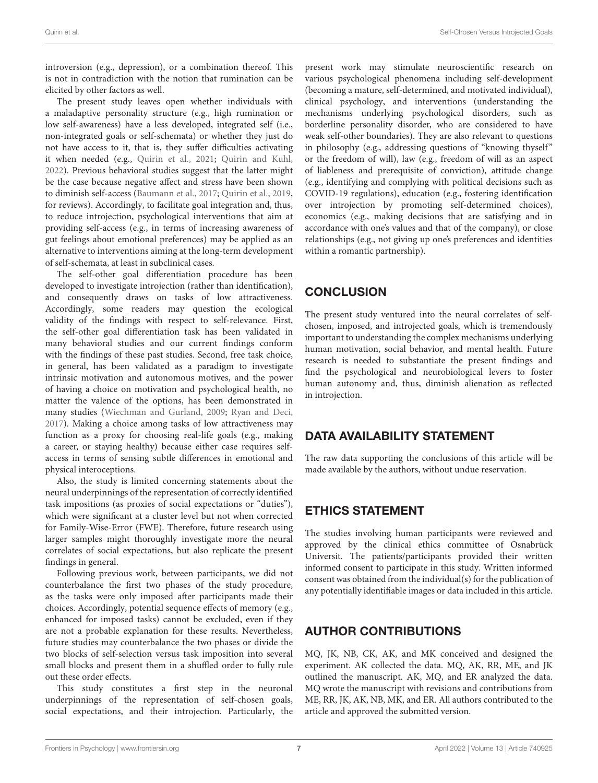introversion (e.g., depression), or a combination thereof. This is not in contradiction with the notion that rumination can be elicited by other factors as well.

The present study leaves open whether individuals with a maladaptive personality structure (e.g., high rumination or low self-awareness) have a less developed, integrated self (i.e., non-integrated goals or self-schemata) or whether they just do not have access to it, that is, they suffer difficulties activating it when needed (e.g., [Quirin et al.,](#page-8-9) [2021;](#page-8-9) [Quirin and Kuhl,](#page-8-11) [2022\)](#page-8-11). Previous behavioral studies suggest that the latter might be the case because negative affect and stress have been shown to diminish self-access [\(Baumann et al.,](#page-7-5) [2017;](#page-7-5) [Quirin et al.,](#page-8-8) [2019,](#page-8-8) for reviews). Accordingly, to facilitate goal integration and, thus, to reduce introjection, psychological interventions that aim at providing self-access (e.g., in terms of increasing awareness of gut feelings about emotional preferences) may be applied as an alternative to interventions aiming at the long-term development of self-schemata, at least in subclinical cases.

The self-other goal differentiation procedure has been developed to investigate introjection (rather than identification), and consequently draws on tasks of low attractiveness. Accordingly, some readers may question the ecological validity of the findings with respect to self-relevance. First, the self-other goal differentiation task has been validated in many behavioral studies and our current findings conform with the findings of these past studies. Second, free task choice, in general, has been validated as a paradigm to investigate intrinsic motivation and autonomous motives, and the power of having a choice on motivation and psychological health, no matter the valence of the options, has been demonstrated in many studies [\(Wiechman and Gurland,](#page-8-26) [2009;](#page-8-26) [Ryan and Deci,](#page-8-2) [2017\)](#page-8-2). Making a choice among tasks of low attractiveness may function as a proxy for choosing real-life goals (e.g., making a career, or staying healthy) because either case requires selfaccess in terms of sensing subtle differences in emotional and physical interoceptions.

Also, the study is limited concerning statements about the neural underpinnings of the representation of correctly identified task impositions (as proxies of social expectations or "duties"), which were significant at a cluster level but not when corrected for Family-Wise-Error (FWE). Therefore, future research using larger samples might thoroughly investigate more the neural correlates of social expectations, but also replicate the present findings in general.

Following previous work, between participants, we did not counterbalance the first two phases of the study procedure, as the tasks were only imposed after participants made their choices. Accordingly, potential sequence effects of memory (e.g., enhanced for imposed tasks) cannot be excluded, even if they are not a probable explanation for these results. Nevertheless, future studies may counterbalance the two phases or divide the two blocks of self-selection versus task imposition into several small blocks and present them in a shuffled order to fully rule out these order effects.

This study constitutes a first step in the neuronal underpinnings of the representation of self-chosen goals, social expectations, and their introjection. Particularly, the present work may stimulate neuroscientific research on various psychological phenomena including self-development (becoming a mature, self-determined, and motivated individual), clinical psychology, and interventions (understanding the mechanisms underlying psychological disorders, such as borderline personality disorder, who are considered to have weak self-other boundaries). They are also relevant to questions in philosophy (e.g., addressing questions of "knowing thyself" or the freedom of will), law (e.g., freedom of will as an aspect of liableness and prerequisite of conviction), attitude change (e.g., identifying and complying with political decisions such as COVID-19 regulations), education (e.g., fostering identification over introjection by promoting self-determined choices), economics (e.g., making decisions that are satisfying and in accordance with one's values and that of the company), or close relationships (e.g., not giving up one's preferences and identities within a romantic partnership).

# **CONCLUSION**

The present study ventured into the neural correlates of selfchosen, imposed, and introjected goals, which is tremendously important to understanding the complex mechanisms underlying human motivation, social behavior, and mental health. Future research is needed to substantiate the present findings and find the psychological and neurobiological levers to foster human autonomy and, thus, diminish alienation as reflected in introjection.

# DATA AVAILABILITY STATEMENT

The raw data supporting the conclusions of this article will be made available by the authors, without undue reservation.

# ETHICS STATEMENT

The studies involving human participants were reviewed and approved by the clinical ethics committee of Osnabrück Universit. The patients/participants provided their written informed consent to participate in this study. Written informed consent was obtained from the individual(s) for the publication of any potentially identifiable images or data included in this article.

# AUTHOR CONTRIBUTIONS

MQ, JK, NB, CK, AK, and MK conceived and designed the experiment. AK collected the data. MQ, AK, RR, ME, and JK outlined the manuscript. AK, MQ, and ER analyzed the data. MQ wrote the manuscript with revisions and contributions from ME, RR, JK, AK, NB, MK, and ER. All authors contributed to the article and approved the submitted version.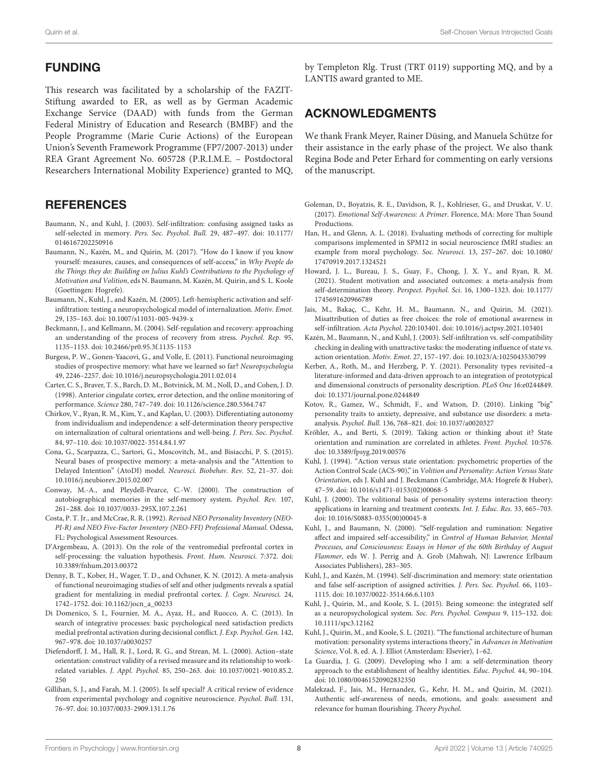#### FUNDING

This research was facilitated by a scholarship of the FAZIT-Stiftung awarded to ER, as well as by German Academic Exchange Service (DAAD) with funds from the German Federal Ministry of Education and Research (BMBF) and the People Programme (Marie Curie Actions) of the European Union's Seventh Framework Programme (FP7/2007-2013) under REA Grant Agreement No. 605728 (P.R.I.M.E. – Postdoctoral Researchers International Mobility Experience) granted to MQ,

# **REFERENCES**

- <span id="page-7-12"></span>Baumann, N., and Kuhl, J. (2003). Self-infiltration: confusing assigned tasks as self-selected in memory. Pers. Soc. Psychol. Bull. 29, 487–497. [doi: 10.1177/](https://doi.org/10.1177/0146167202250916) [0146167202250916](https://doi.org/10.1177/0146167202250916)
- <span id="page-7-5"></span>Baumann, N., Kazén, M., and Quirin, M. (2017). "How do I know if you know yourself: measures, causes, and consequences of self-access," in Why People do the Things they do: Building on Julius Kuhl's Contributions to the Psychology of Motivation and Volition, eds N. Baumann, M. Kazén, M. Quirin, and S. L. Koole (Goettingen: Hogrefe).
- <span id="page-7-24"></span>Baumann, N., Kuhl, J., and Kazén, M. (2005). Left-hemispheric activation and selfinfiltration: testing a neuropsychological model of internalization. Motiv. Emot. 29, 135–163. [doi: 10.1007/s11031-005-9439-x](https://doi.org/10.1007/s11031-005-9439-x)
- <span id="page-7-16"></span>Beckmann, J., and Kellmann, M. (2004). Self-regulation and recovery: approaching an understanding of the process of recovery from stress. Psychol. Rep. 95, 1135–1153. [doi: 10.2466/pr0.95.3f.1135-1153](https://doi.org/10.2466/pr0.95.3f.1135-1153)
- <span id="page-7-21"></span>Burgess, P. W., Gonen-Yaacovi, G., and Volle, E. (2011). Functional neuroimaging studies of prospective memory: what have we learned so far? Neuropsychologia 49, 2246–2257. [doi: 10.1016/j.neuropsychologia.2011.02.014](https://doi.org/10.1016/j.neuropsychologia.2011.02.014)
- <span id="page-7-25"></span>Carter, C. S., Braver, T. S., Barch, D. M., Botvinick, M. M., Noll, D., and Cohen, J. D. (1998). Anterior cingulate cortex, error detection, and the online monitoring of performance. Science 280, 747–749. [doi: 10.1126/science.280.5364.747](https://doi.org/10.1126/science.280.5364.747)
- <span id="page-7-3"></span>Chirkov, V., Ryan, R. M., Kim, Y., and Kaplan, U. (2003). Differentiating autonomy from individualism and independence: a self-determination theory perspective on internalization of cultural orientations and well-being. J. Pers. Soc. Psychol. 84, 97–110. [doi: 10.1037/0022-3514.84.1.97](https://doi.org/10.1037/0022-3514.84.1.97)
- <span id="page-7-22"></span>Cona, G., Scarpazza, C., Sartori, G., Moscovitch, M., and Bisiacchi, P. S. (2015). Neural bases of prospective memory: a meta-analysis and the "Attention to Delayed Intention" (AtoDI) model. Neurosci. Biobehav. Rev. 52, 21–37. [doi:](https://doi.org/10.1016/j.neubiorev.2015.02.007) [10.1016/j.neubiorev.2015.02.007](https://doi.org/10.1016/j.neubiorev.2015.02.007)
- <span id="page-7-9"></span>Conway, M.-A., and Pleydell-Pearce, C.-W. (2000). The construction of autobiographical memories in the self-memory system. Psychol. Rev. 107, 261–288. [doi: 10.1037/0033-295X.107.2.261](https://doi.org/10.1037/0033-295X.107.2.261)
- <span id="page-7-28"></span>Costa, P. T. Jr., and McCrae, R. R. (1992). Revised NEO Personality Inventory (NEO-PI-R) and NEO Five-Factor Inventory (NEO-FFI) Professional Manual. Odessa, FL: Psychological Assessment Resources.
- <span id="page-7-30"></span>D'Argembeau, A. (2013). On the role of the ventromedial prefrontal cortex in self-processing: the valuation hypothesis. Front. Hum. Neurosci. 7:372. [doi:](https://doi.org/10.3389/fnhum.2013.00372) [10.3389/fnhum.2013.00372](https://doi.org/10.3389/fnhum.2013.00372)
- <span id="page-7-20"></span>Denny, B. T., Kober, H., Wager, T. D., and Ochsner, K. N. (2012). A meta-analysis of functional neuroimaging studies of self and other judgments reveals a spatial gradient for mentalizing in medial prefrontal cortex. J. Cogn. Neurosci. 24, 1742–1752. [doi: 10.1162/jocn\\_a\\_00233](https://doi.org/10.1162/jocn_a_00233)
- <span id="page-7-23"></span>Di Domenico, S. I., Fournier, M. A., Ayaz, H., and Ruocco, A. C. (2013). In search of integrative processes: basic psychological need satisfaction predicts medial prefrontal activation during decisional conflict. J. Exp. Psychol. Gen. 142, 967–978. [doi: 10.1037/a0030257](https://doi.org/10.1037/a0030257)
- <span id="page-7-1"></span>Diefendorff, J. M., Hall, R. J., Lord, R. G., and Strean, M. L. (2000). Action–state orientation: construct validity of a revised measure and its relationship to workrelated variables. J. Appl. Psychol. 85, 250–263. [doi: 10.1037/0021-9010.85.2.](https://doi.org/10.1037/0021-9010.85.2.250) [250](https://doi.org/10.1037/0021-9010.85.2.250)
- <span id="page-7-19"></span>Gillihan, S. J., and Farah, M. J. (2005). Is self special? A critical review of evidence from experimental psychology and cognitive neuroscience. Psychol. Bull. 131, 76–97. [doi: 10.1037/0033-2909.131.1.76](https://doi.org/10.1037/0033-2909.131.1.76)

by Templeton Rlg. Trust (TRT 0119) supporting MQ, and by a LANTIS award granted to ME.

### ACKNOWLEDGMENTS

We thank Frank Meyer, Rainer Düsing, and Manuela Schütze for their assistance in the early phase of the project. We also thank Regina Bode and Peter Erhard for commenting on early versions of the manuscript.

- <span id="page-7-18"></span>Goleman, D., Boyatzis, R. E., Davidson, R. J., Kohlrieser, G., and Druskat, V. U. (2017). Emotional Self-Awareness: A Primer. Florence, MA: More Than Sound Productions.
- <span id="page-7-29"></span>Han, H., and Glenn, A. L. (2018). Evaluating methods of correcting for multiple comparisons implemented in SPM12 in social neuroscience fMRI studies: an example from moral psychology. Soc. Neurosci. 13, 257–267. [doi: 10.1080/](https://doi.org/10.1080/17470919.2017.1324521) [17470919.2017.1324521](https://doi.org/10.1080/17470919.2017.1324521)
- <span id="page-7-2"></span>Howard, J. L., Bureau, J. S., Guay, F., Chong, J. X. Y., and Ryan, R. M. (2021). Student motivation and associated outcomes: a meta-analysis from self-determination theory. Perspect. Psychol. Sci. 16, 1300–1323. [doi: 10.1177/](https://doi.org/10.1177/1745691620966789) [1745691620966789](https://doi.org/10.1177/1745691620966789)
- <span id="page-7-11"></span>Jais, M., Bakaç, C., Kehr, H. M., Baumann, N., and Quirin, M. (2021). Misattribution of duties as free choices: the role of emotional awareness in self-infiltration. Acta Psychol. 220:103401. [doi: 10.1016/j.actpsy.2021.103401](https://doi.org/10.1016/j.actpsy.2021.103401)
- <span id="page-7-13"></span>Kazén, M., Baumann, N., and Kuhl, J. (2003). Self-infiltration vs. self-compatibility checking in dealing with unattractive tasks: the moderating influence of state vs. action orientation. Motiv. Emot. 27, 157–197. [doi: 10.1023/A:1025043530799](https://doi.org/10.1023/A:1025043530799)
- <span id="page-7-27"></span>Kerber, A., Roth, M., and Herzberg, P. Y. (2021). Personality types revisited–a literature-informed and data-driven approach to an integration of prototypical and dimensional constructs of personality description. PLoS One 16:e0244849. [doi: 10.1371/journal.pone.0244849](https://doi.org/10.1371/journal.pone.0244849)
- <span id="page-7-26"></span>Kotov, R., Gamez, W., Schmidt, F., and Watson, D. (2010). Linking "big" personality traits to anxiety, depressive, and substance use disorders: a metaanalysis. Psychol. Bull. 136, 768–821. [doi: 10.1037/a0020327](https://doi.org/10.1037/a0020327)
- <span id="page-7-17"></span>Kröhler, A., and Berti, S. (2019). Taking action or thinking about it? State orientation and rumination are correlated in athletes. Front. Psychol. 10:576. [doi: 10.3389/fpsyg.2019.00576](https://doi.org/10.3389/fpsyg.2019.00576)
- <span id="page-7-14"></span>Kuhl, J. (1994). "Action versus state orientation: psychometric properties of the Action Control Scale (ACS-90)," in Volition and Personality: Action Versus State Orientation, eds J. Kuhl and J. Beckmann (Cambridge, MA: Hogrefe & Huber), 47–59. [doi: 10.1016/s1471-0153\(02\)00068-5](https://doi.org/10.1016/s1471-0153(02)00068-5)
- <span id="page-7-7"></span>Kuhl, J. (2000). The volitional basis of personality systems interaction theory: applications in learning and treatment contexts. Int. J. Educ. Res. 33, 665–703. [doi: 10.1016/S0883-0355\(00\)00045-8](https://doi.org/10.1016/S0883-0355(00)00045-8)
- <span id="page-7-15"></span>Kuhl, J., and Baumann, N. (2000). "Self-regulation and rumination: Negative affect and impaired self-accessibility," in Control of Human Behavior, Mental Processes, and Consciousness: Essays in Honor of the 60th Birthday of August Flammer, eds W. J. Perrig and A. Grob (Mahwah, NJ: Lawrence Erlbaum Associates Publishers), 283–305.
- <span id="page-7-0"></span>Kuhl, J., and Kazén, M. (1994). Self-discrimination and memory: state orientation and false self-ascription of assigned activities. J. Pers. Soc. Psychol. 66, 1103– 1115. [doi: 10.1037/0022-3514.66.6.1103](https://doi.org/10.1037/0022-3514.66.6.1103)
- <span id="page-7-8"></span>Kuhl, J., Quirin, M., and Koole, S. L. (2015). Being someone: the integrated self as a neuropsychological system. Soc. Pers. Psychol. Compass 9, 115–132. [doi:](https://doi.org/10.1111/spc3.12162) [10.1111/spc3.12162](https://doi.org/10.1111/spc3.12162)
- <span id="page-7-10"></span>Kuhl, J., Quirin, M., and Koole, S. L. (2021). "The functional architecture of human motivation: personality systems interactions theory," in Advances in Motivation Science, Vol. 8, ed. A. J. Elliot (Amsterdam: Elsevier), 1–62.
- <span id="page-7-4"></span>La Guardia, J. G. (2009). Developing who I am: a self-determination theory approach to the establishment of healthy identities. Educ. Psychol. 44, 90–104. [doi: 10.1080/00461520902832350](https://doi.org/10.1080/00461520902832350)
- <span id="page-7-6"></span>Malekzad, F., Jais, M., Hernandez, G., Kehr, H. M., and Quirin, M. (2021). Authentic self-awareness of needs, emotions, and goals: assessment and relevance for human flourishing. Theory Psychol.